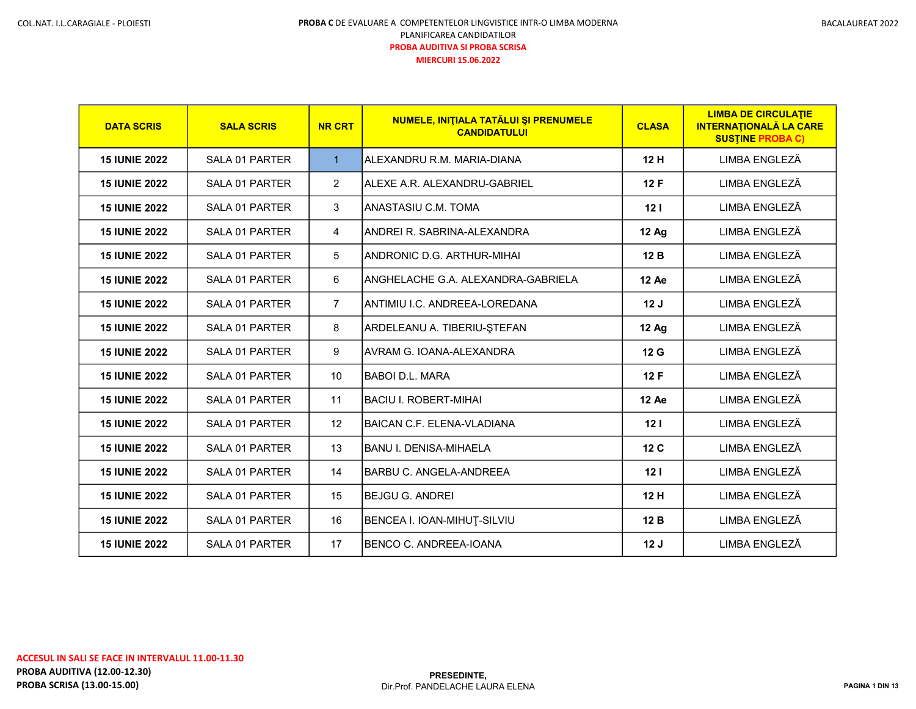| <b>DATA SCRIS</b>    | <b>SALA SCRIS</b>     | <b>NR CRT</b>  | <b>NUMELE, INITIALA TATĂLUI SI PRENUMELE</b><br><b>CANDIDATULUI</b> | <b>CLASA</b>    | <b>LIMBA DE CIRCULATIE</b><br><b>INTERNATIONALĂ LA CARE</b><br><b>SUSTINE PROBA C)</b> |
|----------------------|-----------------------|----------------|---------------------------------------------------------------------|-----------------|----------------------------------------------------------------------------------------|
| <b>15 IUNIE 2022</b> | SALA 01 PARTER        | $\mathbf{1}$   | ALEXANDRU R.M. MARIA-DIANA                                          | 12H             | LIMBA ENGLEZĂ                                                                          |
| <b>15 IUNIE 2022</b> | SALA 01 PARTER        | $\overline{2}$ | ALEXE A.R. ALEXANDRU-GABRIEL                                        | 12F             | LIMBA ENGLEZĂ                                                                          |
| <b>15 IUNIE 2022</b> | SALA 01 PARTER        | 3              | ANASTASIU C.M. TOMA                                                 | 12 <sub>1</sub> | LIMBA ENGLEZĂ                                                                          |
| <b>15 IUNIE 2022</b> | SALA 01 PARTER        | 4              | ANDREI R. SABRINA-ALEXANDRA                                         | <b>12 Ag</b>    | LIMBA ENGLEZĂ                                                                          |
| <b>15 IUNIE 2022</b> | SALA 01 PARTER        | 5              | ANDRONIC D.G. ARTHUR-MIHAI                                          | 12B             | LIMBA ENGLEZĂ                                                                          |
| <b>15 IUNIE 2022</b> | SALA 01 PARTER        | 6              | ANGHELACHE G.A. ALEXANDRA-GABRIELA                                  | 12 Ae           | LIMBA ENGLEZĂ                                                                          |
| <b>15 IUNIE 2022</b> | <b>SALA 01 PARTER</b> | $\overline{7}$ | ANTIMIU I.C. ANDREEA-LOREDANA                                       | 12J             | LIMBA ENGLEZĂ                                                                          |
| <b>15 IUNIE 2022</b> | SALA 01 PARTER        | 8              | ARDELEANU A. TIBERIU-ȘTEFAN                                         | <b>12 Ag</b>    | LIMBA ENGLEZĂ                                                                          |
| <b>15 IUNIE 2022</b> | SALA 01 PARTER        | 9              | AVRAM G. IOANA-ALEXANDRA                                            | 12 G            | LIMBA ENGLEZĂ                                                                          |
| <b>15 IUNIE 2022</b> | SALA 01 PARTER        | 10             | IBABOI D.L. MARA                                                    | 12F             | LIMBA ENGLEZĂ                                                                          |
| <b>15 IUNIE 2022</b> | SALA 01 PARTER        | 11             | BACIU I. ROBERT-MIHAI                                               | 12 Ae           | LIMBA ENGLEZĂ                                                                          |
| <b>15 IUNIE 2022</b> | SALA 01 PARTER        | 12             | BAICAN C.F. ELENA-VLADIANA                                          | 12 <sub>1</sub> | LIMBA ENGLEZĂ                                                                          |
| <b>15 IUNIE 2022</b> | SALA 01 PARTER        | 13             | IBANU I. DENISA-MIHAELA                                             | 12 <sub>C</sub> | LIMBA ENGLEZĂ                                                                          |
| <b>15 IUNIE 2022</b> | SALA 01 PARTER        | 14             | IBARBU C. ANGELA-ANDREEA                                            | 12 <sub>1</sub> | LIMBA ENGLEZĂ                                                                          |
| <b>15 IUNIE 2022</b> | SALA 01 PARTER        | 15             | IBEJGU G. ANDREI                                                    | 12H             | LIMBA ENGLEZĂ                                                                          |
| <b>15 IUNIE 2022</b> | SALA 01 PARTER        | 16             | BENCEA I. IOAN-MIHUȚ-SILVIU                                         | 12B             | LIMBA ENGLEZĂ                                                                          |
| <b>15 IUNIE 2022</b> | SALA 01 PARTER        | 17             | BENCO C. ANDREEA-IOANA                                              | 12J             | LIMBA ENGLEZĂ                                                                          |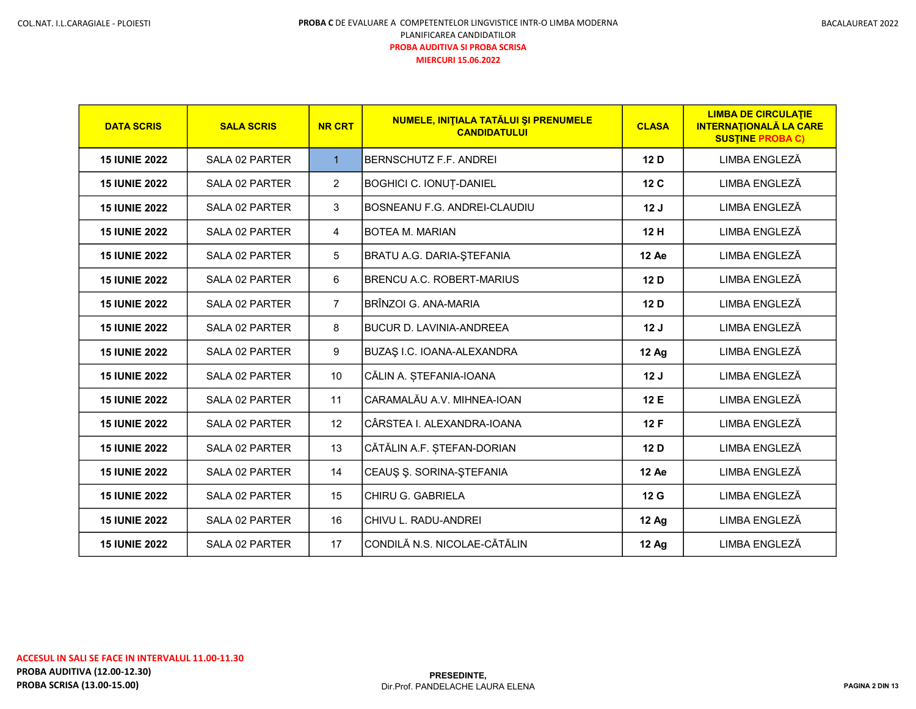| BACALAUREAT 2022 |  |
|------------------|--|
|------------------|--|

| <b>DATA SCRIS</b>    | <b>SALA SCRIS</b> | <b>NR CRT</b>  | NUMELE, INITIALA TATĂLUI ȘI PRENUMELE<br><b>CANDIDATULUI</b> | <b>CLASA</b> | <b>LIMBA DE CIRCULATIE</b><br><b>INTERNATIONALĂ LA CARE</b><br><b>SUSTINE PROBA C)</b> |
|----------------------|-------------------|----------------|--------------------------------------------------------------|--------------|----------------------------------------------------------------------------------------|
| <b>15 IUNIE 2022</b> | SALA 02 PARTER    | $\mathbf{1}$   | BERNSCHUTZ F.F. ANDREI                                       | 12 D         | LIMBA ENGLEZĂ                                                                          |
| <b>15 IUNIE 2022</b> | SALA 02 PARTER    | $\overline{2}$ | BOGHICI C. IONUȚ-DANIEL                                      | 12 C         | LIMBA ENGLEZĂ                                                                          |
| <b>15 IUNIE 2022</b> | SALA 02 PARTER    | 3              | BOSNEANU F.G. ANDREI-CLAUDIU                                 | 12J          | LIMBA ENGLEZĂ                                                                          |
| <b>15 IUNIE 2022</b> | SALA 02 PARTER    | 4              | <b>BOTEA M. MARIAN</b>                                       | 12H          | LIMBA ENGLEZĂ                                                                          |
| <b>15 IUNIE 2022</b> | SALA 02 PARTER    | 5              | BRATU A.G. DARIA-ȘTEFANIA                                    | 12 Ae        | LIMBA ENGLEZĂ                                                                          |
| <b>15 IUNIE 2022</b> | SALA 02 PARTER    | 6              | <b>BRENCU A.C. ROBERT-MARIUS</b>                             | 12D          | LIMBA ENGLEZĂ                                                                          |
| <b>15 IUNIE 2022</b> | SALA 02 PARTER    | $\overline{7}$ | BRÎNZOI G. ANA-MARIA                                         | 12D          | LIMBA ENGLEZĂ                                                                          |
| <b>15 IUNIE 2022</b> | SALA 02 PARTER    | 8              | IBUCUR D. LAVINIA-ANDREEA                                    | 12J          | LIMBA ENGLEZĂ                                                                          |
| <b>15 IUNIE 2022</b> | SALA 02 PARTER    | 9              | <b>BUZAŞ I.C. IOANA-ALEXANDRA</b>                            | <b>12 Ag</b> | LIMBA ENGLEZĂ                                                                          |
| <b>15 IUNIE 2022</b> | SALA 02 PARTER    | 10             | CĂLIN A. ȘTEFANIA-IOANA                                      | 12J          | LIMBA ENGLEZĂ                                                                          |
| <b>15 IUNIE 2022</b> | SALA 02 PARTER    | 11             | CARAMALĂU A.V. MIHNEA-IOAN                                   | 12 E         | LIMBA ENGLEZĂ                                                                          |
| <b>15 IUNIE 2022</b> | SALA 02 PARTER    | 12             | CÂRSTEA I. ALEXANDRA-IOANA                                   | 12F          | LIMBA ENGLEZĂ                                                                          |
| <b>15 IUNIE 2022</b> | SALA 02 PARTER    | 13             | CĂTĂLIN A.F. ȘTEFAN-DORIAN                                   | 12D          | LIMBA ENGLEZĂ                                                                          |
| <b>15 IUNIE 2022</b> | SALA 02 PARTER    | 14             | CEAUŞ Ş. SORINA-ŞTEFANIA                                     | 12 Ae        | LIMBA ENGLEZĂ                                                                          |
| <b>15 IUNIE 2022</b> | SALA 02 PARTER    | 15             | CHIRU G. GABRIELA                                            | 12 G         | LIMBA ENGLEZĂ                                                                          |
| <b>15 IUNIE 2022</b> | SALA 02 PARTER    | 16             | CHIVU L. RADU-ANDREI                                         | <b>12 Ag</b> | LIMBA ENGLEZĂ                                                                          |
| <b>15 IUNIE 2022</b> | SALA 02 PARTER    | 17             | CONDILĂ N.S. NICOLAE-CĂTĂLIN                                 | <b>12 Ag</b> | LIMBA ENGLEZĂ                                                                          |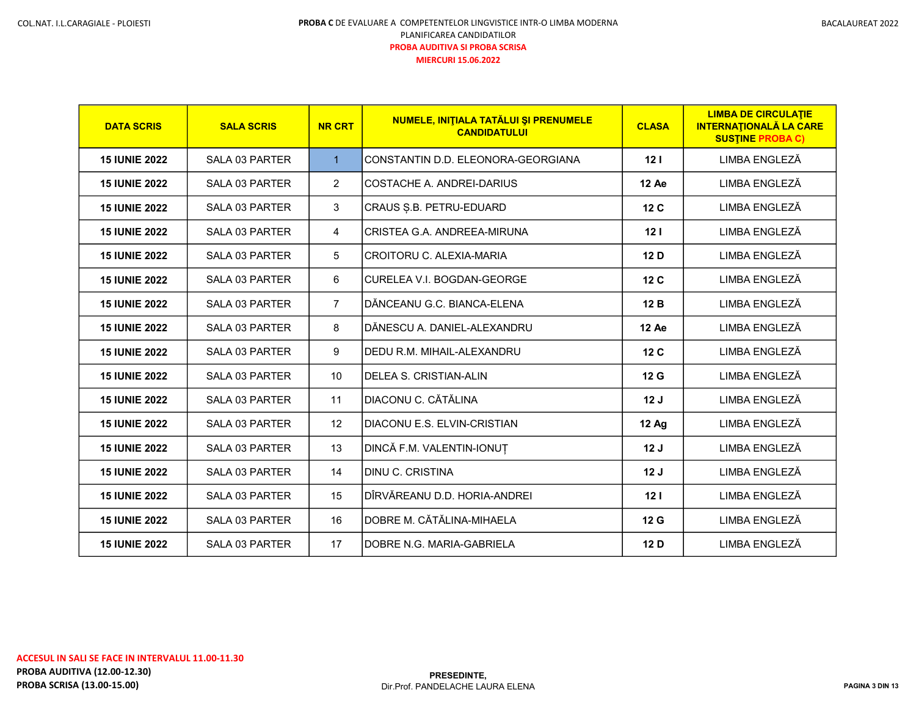| <b>DATA SCRIS</b>    | <b>SALA SCRIS</b>     | <b>NR CRT</b>  | NUMELE, INITIALA TATĂLUI ȘI PRENUMELE<br><b>CANDIDATULUI</b> | <b>CLASA</b>    | <b>LIMBA DE CIRCULATIE</b><br><b>INTERNATIONALĂ LA CARE</b><br><b>SUSTINE PROBA C)</b> |
|----------------------|-----------------------|----------------|--------------------------------------------------------------|-----------------|----------------------------------------------------------------------------------------|
| <b>15 IUNIE 2022</b> | <b>SALA 03 PARTER</b> | $\mathbf{1}$   | CONSTANTIN D.D. ELEONORA-GEORGIANA                           | 12 <sub>1</sub> | LIMBA ENGLEZĂ                                                                          |
| <b>15 IUNIE 2022</b> | <b>SALA 03 PARTER</b> | $\overline{2}$ | COSTACHE A. ANDREI-DARIUS                                    | 12 Ae           | LIMBA ENGLEZĂ                                                                          |
| <b>15 IUNIE 2022</b> | SALA 03 PARTER        | 3              | CRAUS S.B. PETRU-EDUARD                                      | 12 C            | LIMBA ENGLEZĂ                                                                          |
| <b>15 IUNIE 2022</b> | <b>SALA 03 PARTER</b> | 4              | CRISTEA G.A. ANDREEA-MIRUNA                                  | 12 <sub>1</sub> | LIMBA ENGLEZĂ                                                                          |
| <b>15 IUNIE 2022</b> | SALA 03 PARTER        | 5              | CROITORU C. ALEXIA-MARIA                                     | 12 D            | LIMBA ENGLEZĂ                                                                          |
| <b>15 IUNIE 2022</b> | <b>SALA 03 PARTER</b> | 6              | CURELEA V.I. BOGDAN-GEORGE                                   | 12 C            | LIMBA ENGLEZĂ                                                                          |
| <b>15 IUNIE 2022</b> | SALA 03 PARTER        | $\overline{7}$ | DĂNCEANU G.C. BIANCA-ELENA                                   | 12B             | LIMBA ENGLEZĂ                                                                          |
| <b>15 IUNIE 2022</b> | <b>SALA 03 PARTER</b> | 8              | DĂNESCU A. DANIEL-ALEXANDRU                                  | <b>12 Ae</b>    | LIMBA ENGLEZĂ                                                                          |
| <b>15 IUNIE 2022</b> | SALA 03 PARTER        | 9              | DEDU R.M. MIHAIL-ALEXANDRU                                   | 12 <sub>C</sub> | LIMBA ENGLEZĂ                                                                          |
| <b>15 IUNIE 2022</b> | SALA 03 PARTER        | 10             | <b>DELEA S. CRISTIAN-ALIN</b>                                | 12 G            | LIMBA ENGLEZĂ                                                                          |
| <b>15 IUNIE 2022</b> | SALA 03 PARTER        | 11             | DIACONU C. CĂTĂLINA                                          | 12J             | LIMBA ENGLEZĂ                                                                          |
| <b>15 IUNIE 2022</b> | SALA 03 PARTER        | 12             | DIACONU E.S. ELVIN-CRISTIAN                                  | 12 Ag           | LIMBA ENGLEZĂ                                                                          |
| <b>15 IUNIE 2022</b> | <b>SALA 03 PARTER</b> | 13             | DINCĂ F.M. VALENTIN-IONUȚ                                    | 12J             | LIMBA ENGLEZĂ                                                                          |
| <b>15 IUNIE 2022</b> | <b>SALA 03 PARTER</b> | 14             | <b>DINU C. CRISTINA</b>                                      | 12J             | LIMBA ENGLEZĂ                                                                          |
| <b>15 IUNIE 2022</b> | SALA 03 PARTER        | 15             | DÎRVĂREANU D.D. HORIA-ANDREI                                 | 121             | LIMBA ENGLEZĂ                                                                          |
| <b>15 IUNIE 2022</b> | SALA 03 PARTER        | 16             | DOBRE M. CĂTĂLINA-MIHAELA                                    | 12 G            | LIMBA ENGLEZĂ                                                                          |
| <b>15 IUNIE 2022</b> | SALA 03 PARTER        | 17             | DOBRE N.G. MARIA-GABRIELA                                    | 12 D            | LIMBA ENGLEZĂ                                                                          |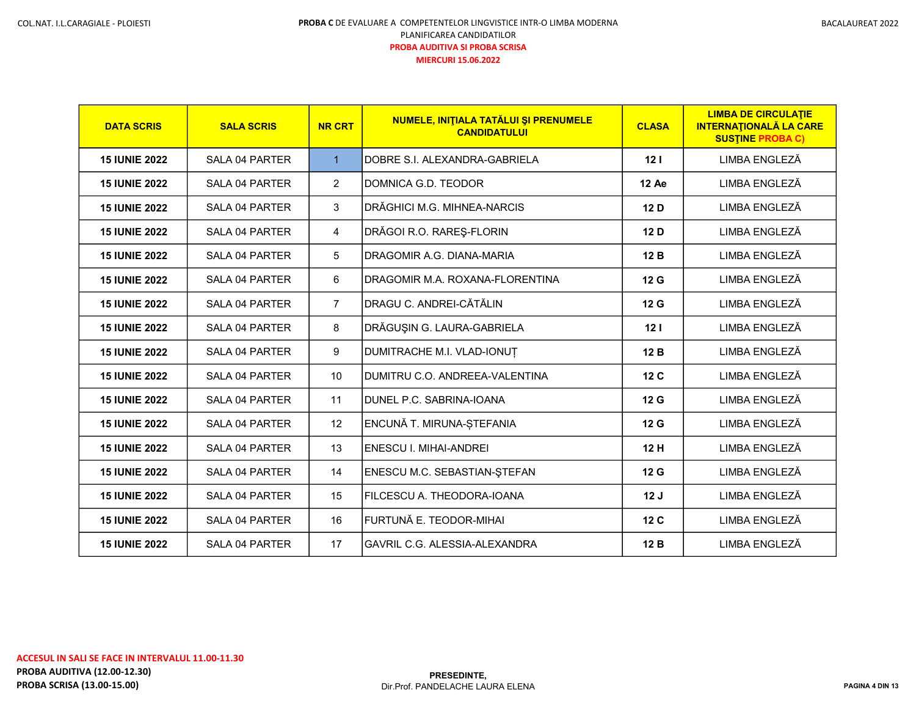| <b>DATA SCRIS</b>    | <b>SALA SCRIS</b>     | <b>NR CRT</b>  | NUMELE, INITIALA TATĂLUI ȘI PRENUMELE<br><b>CANDIDATULUI</b> | <b>CLASA</b>    | <b>LIMBA DE CIRCULATIE</b><br><b>INTERNATIONALĂ LA CARE</b><br><b>SUSTINE PROBA C)</b> |
|----------------------|-----------------------|----------------|--------------------------------------------------------------|-----------------|----------------------------------------------------------------------------------------|
| <b>15 IUNIE 2022</b> | SALA 04 PARTER        | $\mathbf{1}$   | DOBRE S.I. ALEXANDRA-GABRIELA                                | 12 <sub>1</sub> | LIMBA ENGLEZĂ                                                                          |
| <b>15 IUNIE 2022</b> | SALA 04 PARTER        | $\overline{2}$ | DOMNICA G.D. TEODOR                                          | 12 Ae           | LIMBA ENGLEZĂ                                                                          |
| <b>15 IUNIE 2022</b> | <b>SALA 04 PARTER</b> | 3              | DRĂGHICI M.G. MIHNEA-NARCIS                                  | 12 D            | LIMBA ENGLEZĂ                                                                          |
| <b>15 IUNIE 2022</b> | SALA 04 PARTER        | 4              | DRĂGOI R.O. RAREȘ-FLORIN                                     | 12 D            | LIMBA ENGLEZĂ                                                                          |
| <b>15 IUNIE 2022</b> | SALA 04 PARTER        | 5              | DRAGOMIR A.G. DIANA-MARIA                                    | 12B             | LIMBA ENGLEZĂ                                                                          |
| <b>15 IUNIE 2022</b> | <b>SALA 04 PARTER</b> | 6              | DRAGOMIR M.A. ROXANA-FLORENTINA                              | 12 G            | LIMBA ENGLEZĂ                                                                          |
| <b>15 IUNIE 2022</b> | <b>SALA 04 PARTER</b> | $\overline{7}$ | DRAGU C. ANDREI-CĂTĂLIN                                      | 12 G            | LIMBA ENGLEZĂ                                                                          |
| <b>15 IUNIE 2022</b> | SALA 04 PARTER        | 8              | DRĂGUȘIN G. LAURA-GABRIELA                                   | 12 <sub>1</sub> | LIMBA ENGLEZĂ                                                                          |
| <b>15 IUNIE 2022</b> | SALA 04 PARTER        | 9              | DUMITRACHE M.I. VLAD-IONUT                                   | 12B             | LIMBA ENGLEZĂ                                                                          |
| <b>15 IUNIE 2022</b> | SALA 04 PARTER        | 10             | DUMITRU C.O. ANDREEA-VALENTINA                               | 12 C            | LIMBA ENGLEZĂ                                                                          |
| <b>15 IUNIE 2022</b> | SALA 04 PARTER        | 11             | DUNEL P.C. SABRINA-IOANA                                     | 12 G            | LIMBA ENGLEZĂ                                                                          |
| <b>15 IUNIE 2022</b> | SALA 04 PARTER        | 12             | ENCUNĂ T. MIRUNA-ȘTEFANIA                                    | 12 G            | LIMBA ENGLEZĂ                                                                          |
| <b>15 IUNIE 2022</b> | SALA 04 PARTER        | 13             | <b>ENESCU I. MIHAI-ANDREI</b>                                | 12H             | LIMBA ENGLEZĂ                                                                          |
| <b>15 IUNIE 2022</b> | SALA 04 PARTER        | 14             | ENESCU M.C. SEBASTIAN-STEFAN                                 | 12 G            | LIMBA ENGLEZĂ                                                                          |
| <b>15 IUNIE 2022</b> | SALA 04 PARTER        | 15             | FILCESCU A. THEODORA-IOANA                                   | 12J             | LIMBA ENGLEZĂ                                                                          |
| <b>15 IUNIE 2022</b> | <b>SALA 04 PARTER</b> | 16             | FURTUNĂ E. TEODOR-MIHAI                                      | 12 <sub>C</sub> | LIMBA ENGLEZĂ                                                                          |
| <b>15 IUNIE 2022</b> | <b>SALA 04 PARTER</b> | 17             | <b>GAVRIL C.G. ALESSIA-ALEXANDRA</b>                         | 12B             | LIMBA ENGLEZĂ                                                                          |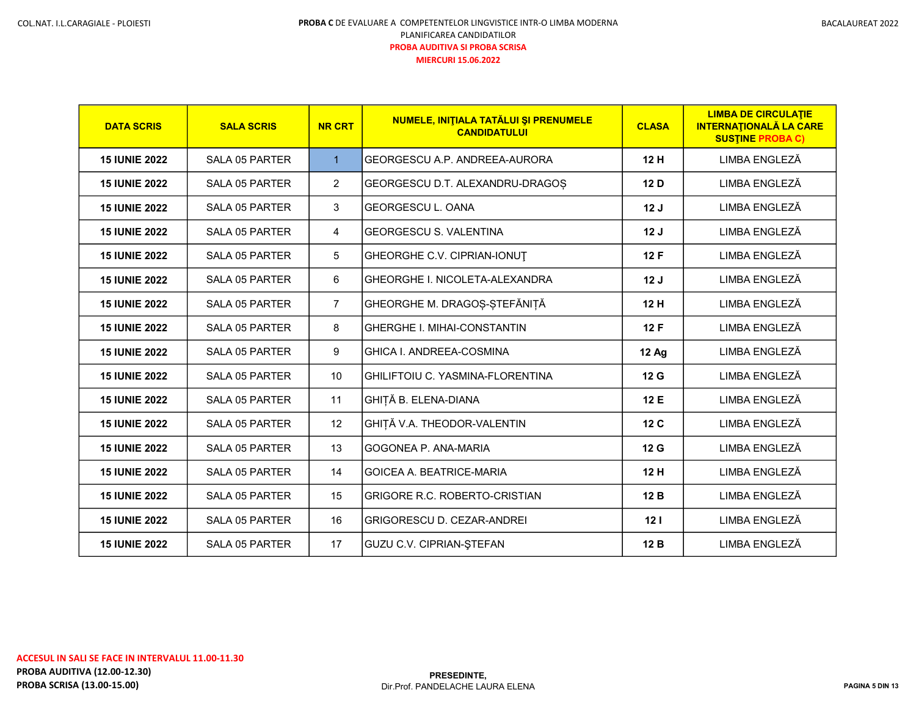| <b>DATA SCRIS</b>    | <b>SALA SCRIS</b>     | <b>NR CRT</b>  | NUMELE, INITIALA TATĂLUI ȘI PRENUMELE<br><b>CANDIDATULUI</b> | <b>CLASA</b> | <b>LIMBA DE CIRCULATIE</b><br><b>INTERNATIONALĂ LA CARE</b><br><b>SUSTINE PROBA C)</b> |
|----------------------|-----------------------|----------------|--------------------------------------------------------------|--------------|----------------------------------------------------------------------------------------|
| <b>15 IUNIE 2022</b> | SALA 05 PARTER        | $\mathbf{1}$   | GEORGESCU A.P. ANDREEA-AURORA                                | 12H          | LIMBA ENGLEZĂ                                                                          |
| <b>15 IUNIE 2022</b> | <b>SALA 05 PARTER</b> | $\overline{2}$ | GEORGESCU D.T. ALEXANDRU-DRAGOS                              | 12 D         | LIMBA ENGLEZĂ                                                                          |
| <b>15 IUNIE 2022</b> | <b>SALA 05 PARTER</b> | 3              | <b>GEORGESCU L. OANA</b>                                     | 12J          | LIMBA ENGLEZĂ                                                                          |
| <b>15 IUNIE 2022</b> | <b>SALA 05 PARTER</b> | 4              | <b>GEORGESCU S. VALENTINA</b>                                | 12J          | LIMBA ENGLEZĂ                                                                          |
| <b>15 IUNIE 2022</b> | <b>SALA 05 PARTER</b> | 5              | GHEORGHE C.V. CIPRIAN-IONUT                                  | 12 F         | LIMBA ENGLEZĂ                                                                          |
| <b>15 IUNIE 2022</b> | SALA 05 PARTER        | 6              | <b>GHEORGHE I. NICOLETA-ALEXANDRA</b>                        | 12J          | LIMBA ENGLEZĂ                                                                          |
| <b>15 IUNIE 2022</b> | <b>SALA 05 PARTER</b> | $\overline{7}$ | GHEORGHE M. DRAGOS-STEFĂNIȚĂ                                 | 12 H         | LIMBA ENGLEZĂ                                                                          |
| <b>15 IUNIE 2022</b> | <b>SALA 05 PARTER</b> | 8              | <b>GHERGHE I. MIHAI-CONSTANTIN</b>                           | 12 F         | LIMBA ENGLEZĂ                                                                          |
| <b>15 IUNIE 2022</b> | <b>SALA 05 PARTER</b> | 9              | GHICA I. ANDREEA-COSMINA                                     | <b>12 Ag</b> | LIMBA ENGLEZĂ                                                                          |
| <b>15 IUNIE 2022</b> | <b>SALA 05 PARTER</b> | 10             | IGHILIFTOIU C. YASMINA-FLORENTINA                            | 12 G         | LIMBA ENGLEZĂ                                                                          |
| <b>15 IUNIE 2022</b> | <b>SALA 05 PARTER</b> | 11             | GHIȚĂ B. ELENA-DIANA                                         | 12 E         | LIMBA ENGLEZĂ                                                                          |
| <b>15 IUNIE 2022</b> | <b>SALA 05 PARTER</b> | 12             | GHIȚĂ V.A. THEODOR-VALENTIN                                  | 12 C         | LIMBA ENGLEZĂ                                                                          |
| <b>15 IUNIE 2022</b> | <b>SALA 05 PARTER</b> | 13             | IGOGONEA P. ANA-MARIA                                        | 12G          | LIMBA ENGLEZĂ                                                                          |
| <b>15 IUNIE 2022</b> | SALA 05 PARTER        | 14             | IGOICEA A. BEATRICE-MARIA                                    | 12 H         | LIMBA ENGLEZĂ                                                                          |
| <b>15 IUNIE 2022</b> | <b>SALA 05 PARTER</b> | 15             | IGRIGORE R.C. ROBERTO-CRISTIAN                               | 12 B         | LIMBA ENGLEZĂ                                                                          |
| <b>15 IUNIE 2022</b> | <b>SALA 05 PARTER</b> | 16             | <b>GRIGORESCU D. CEZAR-ANDREI</b>                            | 121          | LIMBA ENGLEZĂ                                                                          |
| <b>15 IUNIE 2022</b> | <b>SALA 05 PARTER</b> | 17             | <b>GUZU C.V. CIPRIAN-ŞTEFAN</b>                              | 12 B         | LIMBA ENGLEZĂ                                                                          |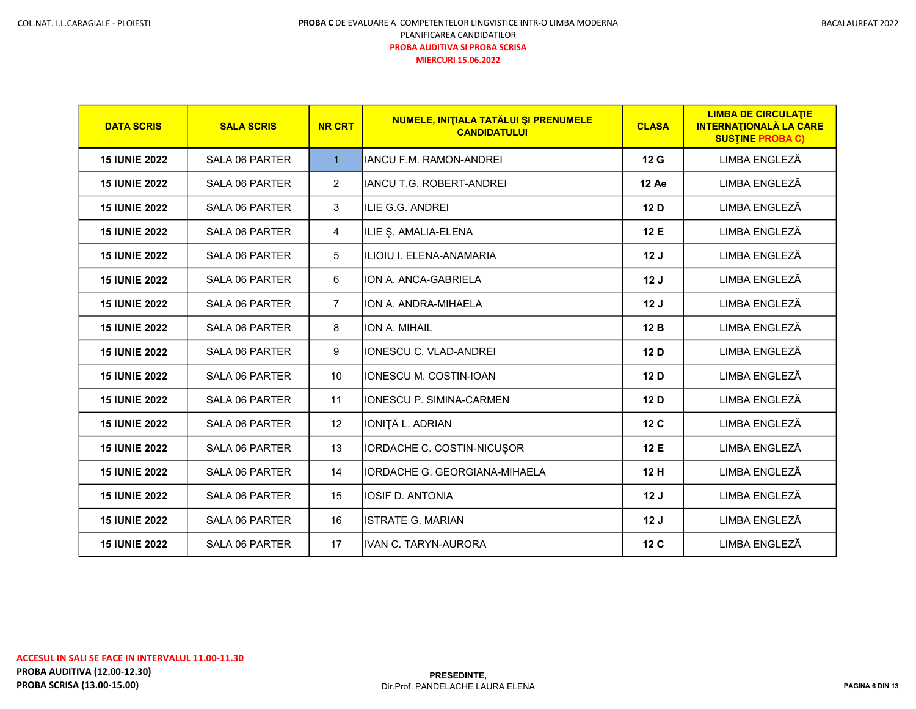| <b>DATA SCRIS</b>    | <b>SALA SCRIS</b>     | <b>NR CRT</b>  | NUMELE, INITIALA TATĂLUI ȘI PRENUMELE<br><b>CANDIDATULUI</b> | <b>CLASA</b>    | <b>LIMBA DE CIRCULATIE</b><br><b>INTERNATIONALĂ LA CARE</b><br><b>SUSTINE PROBA C)</b> |
|----------------------|-----------------------|----------------|--------------------------------------------------------------|-----------------|----------------------------------------------------------------------------------------|
| <b>15 IUNIE 2022</b> | SALA 06 PARTER        | $\mathbf{1}$   | <b>IANCU F.M. RAMON-ANDREI</b>                               | 12 <sub>G</sub> | LIMBA ENGLEZĂ                                                                          |
| <b>15 IUNIE 2022</b> | SALA 06 PARTER        | $\overline{2}$ | <b>IANCU T.G. ROBERT-ANDREI</b>                              | 12 Ae           | LIMBA ENGLEZĂ                                                                          |
| <b>15 IUNIE 2022</b> | <b>SALA 06 PARTER</b> | 3              | <b>ILIE G.G. ANDREI</b>                                      | 12D             | LIMBA ENGLEZĂ                                                                          |
| <b>15 IUNIE 2022</b> | <b>SALA 06 PARTER</b> | 4              | ILIE Ș. AMALIA-ELENA                                         | 12 E            | LIMBA ENGLEZĂ                                                                          |
| <b>15 IUNIE 2022</b> | <b>SALA 06 PARTER</b> | 5              | ILIOIU I. ELENA-ANAMARIA                                     | 12J             | LIMBA ENGLEZĂ                                                                          |
| <b>15 IUNIE 2022</b> | <b>SALA 06 PARTER</b> | 6              | ION A. ANCA-GABRIELA                                         | 12J             | LIMBA ENGLEZĂ                                                                          |
| <b>15 IUNIE 2022</b> | SALA 06 PARTER        | $\overline{7}$ | ION A. ANDRA-MIHAELA                                         | 12J             | LIMBA ENGLEZĂ                                                                          |
| <b>15 IUNIE 2022</b> | SALA 06 PARTER        | 8              | ION A. MIHAIL                                                | 12B             | LIMBA ENGLEZĂ                                                                          |
| <b>15 IUNIE 2022</b> | <b>SALA 06 PARTER</b> | 9              | <b>IONESCU C. VLAD-ANDREI</b>                                | 12D             | LIMBA ENGLEZĂ                                                                          |
| <b>15 IUNIE 2022</b> | SALA 06 PARTER        | 10             | IONESCU M. COSTIN-IOAN                                       | 12D             | LIMBA ENGLEZĂ                                                                          |
| <b>15 IUNIE 2022</b> | <b>SALA 06 PARTER</b> | 11             | <b>IONESCU P. SIMINA-CARMEN</b>                              | 12D             | LIMBA ENGLEZĂ                                                                          |
| <b>15 IUNIE 2022</b> | SALA 06 PARTER        | 12             | IONIȚĂ L. ADRIAN                                             | 12 C            | LIMBA ENGLEZĂ                                                                          |
| <b>15 IUNIE 2022</b> | SALA 06 PARTER        | 13             | IORDACHE C. COSTIN-NICUSOR                                   | 12 E            | LIMBA ENGLEZĂ                                                                          |
| <b>15 IUNIE 2022</b> | SALA 06 PARTER        | 14             | IORDACHE G. GEORGIANA-MIHAELA                                | 12 H            | LIMBA ENGLEZĂ                                                                          |
| <b>15 IUNIE 2022</b> | SALA 06 PARTER        | 15             | <b>IOSIF D. ANTONIA</b>                                      | 12J             | LIMBA ENGLEZĂ                                                                          |
| <b>15 IUNIE 2022</b> | SALA 06 PARTER        | 16             | <b>ISTRATE G. MARIAN</b>                                     | 12J             | LIMBA ENGLEZĂ                                                                          |
| <b>15 IUNIE 2022</b> | SALA 06 PARTER        | 17             | <b>IVAN C. TARYN-AURORA</b>                                  | 12 <sub>C</sub> | LIMBA ENGLEZĂ                                                                          |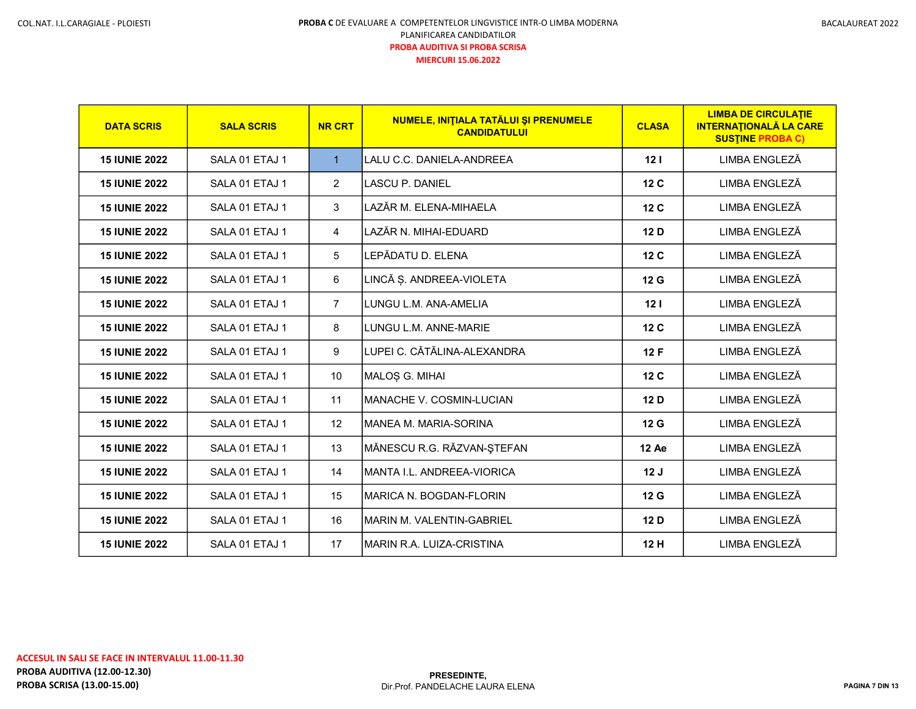| <b>DATA SCRIS</b>    | <b>SALA SCRIS</b> | <b>NR CRT</b>  | NUMELE, INITIALA TATĂLUI ȘI PRENUMELE<br><b>CANDIDATULUI</b> | <b>CLASA</b>    | <b>LIMBA DE CIRCULATIE</b><br><b>INTERNATIONALĂ LA CARE</b><br><b>SUSTINE PROBA C)</b> |
|----------------------|-------------------|----------------|--------------------------------------------------------------|-----------------|----------------------------------------------------------------------------------------|
| <b>15 IUNIE 2022</b> | SALA 01 ETAJ 1    | $\mathbf{1}$   | LALU C.C. DANIELA-ANDREEA                                    | 12 <sub>1</sub> | LIMBA ENGLEZĂ                                                                          |
| <b>15 IUNIE 2022</b> | SALA 01 ETAJ 1    | $\overline{2}$ | <b>LASCU P. DANIEL</b>                                       | 12 <sub>C</sub> | LIMBA ENGLEZĂ                                                                          |
| <b>15 IUNIE 2022</b> | SALA 01 ETAJ 1    | 3              | LAZĂR M. ELENA-MIHAELA                                       | 12 <sub>C</sub> | LIMBA ENGLEZĂ                                                                          |
| <b>15 IUNIE 2022</b> | SALA 01 ETAJ 1    | 4              | LAZĂR N. MIHAI-EDUARD                                        | 12 D            | LIMBA ENGLEZĂ                                                                          |
| <b>15 IUNIE 2022</b> | SALA 01 ETAJ 1    | 5              | LEPĂDATU D. ELENA                                            | 12 <sub>C</sub> | LIMBA ENGLEZĂ                                                                          |
| <b>15 IUNIE 2022</b> | SALA 01 ETAJ 1    | 6              | LINCĂ Ș. ANDREEA-VIOLETA                                     | 12 <sub>G</sub> | LIMBA ENGLEZĂ                                                                          |
| <b>15 IUNIE 2022</b> | SALA 01 ETAJ 1    | $\overline{7}$ | LUNGU L.M. ANA-AMELIA                                        | 12 <sub>1</sub> | LIMBA ENGLEZĂ                                                                          |
| <b>15 IUNIE 2022</b> | SALA 01 ETAJ 1    | 8              | LUNGU L.M. ANNE-MARIE                                        | 12 <sub>C</sub> | LIMBA ENGLEZĂ                                                                          |
| <b>15 IUNIE 2022</b> | SALA 01 ETAJ 1    | 9              | LUPEI C. CĂTĂLINA-ALEXANDRA                                  | 12F             | LIMBA ENGLEZĂ                                                                          |
| <b>15 IUNIE 2022</b> | SALA 01 ETAJ 1    | 10             | MALOȘ G. MIHAI                                               | 12 <sub>C</sub> | LIMBA ENGLEZĂ                                                                          |
| <b>15 IUNIE 2022</b> | SALA 01 ETAJ 1    | 11             | IMANACHE V. COSMIN-LUCIAN                                    | 12 D            | LIMBA ENGLEZĂ                                                                          |
| <b>15 IUNIE 2022</b> | SALA 01 ETAJ 1    | 12             | IMANEA M. MARIA-SORINA                                       | 12 <sub>G</sub> | LIMBA ENGLEZĂ                                                                          |
| <b>15 IUNIE 2022</b> | SALA 01 ETAJ 1    | 13             | MĂNESCU R.G. RĂZVAN-ȘTEFAN                                   | 12 Ae           | LIMBA ENGLEZĂ                                                                          |
| <b>15 IUNIE 2022</b> | SALA 01 ETAJ 1    | 14             | IMANTA I.L. ANDREEA-VIORICA                                  | 12J             | LIMBA ENGLEZĂ                                                                          |
| <b>15 IUNIE 2022</b> | SALA 01 ETAJ 1    | 15             | IMARICA N. BOGDAN-FLORIN                                     | 12 <sub>G</sub> | LIMBA ENGLEZĂ                                                                          |
| <b>15 IUNIE 2022</b> | SALA 01 ETAJ 1    | 16             | IMARIN M. VALENTIN-GABRIEL                                   | 12D             | LIMBA ENGLEZĂ                                                                          |
| <b>15 IUNIE 2022</b> | SALA 01 ETAJ 1    | 17             | İMARIN R.A. LUIZA-CRISTINA                                   | 12 H            | LIMBA ENGLEZĂ                                                                          |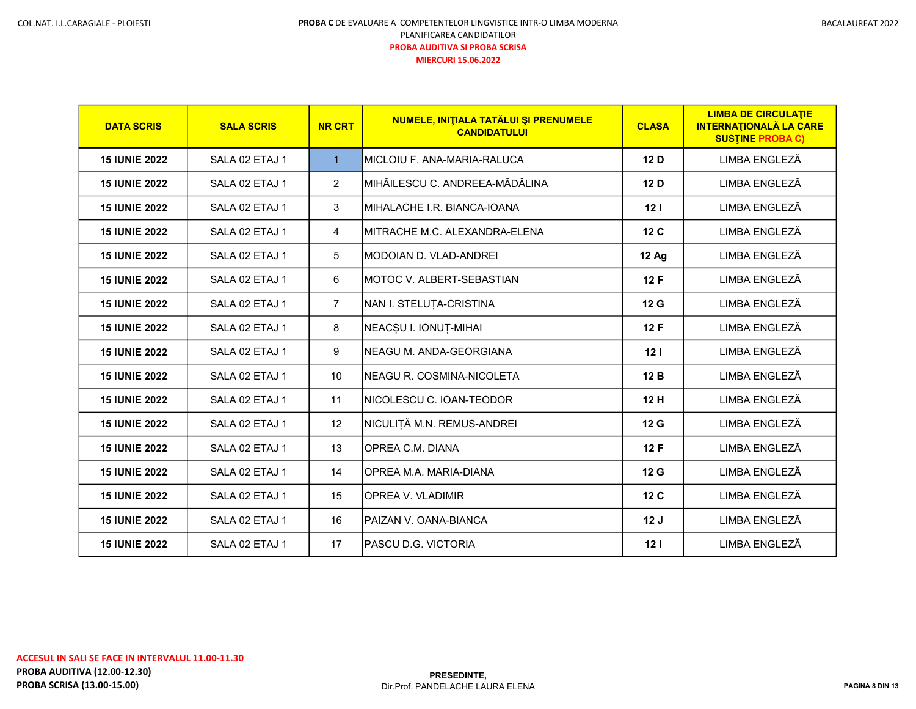| <b>DATA SCRIS</b>    | <b>SALA SCRIS</b> | <b>NR CRT</b>   | NUMELE, INITIALA TATĂLUI ȘI PRENUMELE<br><b>CANDIDATULUI</b> | <b>CLASA</b>    | <b>LIMBA DE CIRCULATIE</b><br><b>INTERNATIONALĂ LA CARE</b><br><b>SUSTINE PROBA C)</b> |
|----------------------|-------------------|-----------------|--------------------------------------------------------------|-----------------|----------------------------------------------------------------------------------------|
| <b>15 IUNIE 2022</b> | SALA 02 ETAJ 1    | $\mathbf{1}$    | IMICLOIU F. ANA-MARIA-RALUCA                                 | 12D             | LIMBA ENGLEZĂ                                                                          |
| <b>15 IUNIE 2022</b> | SALA 02 ETAJ 1    | $\overline{2}$  | İMIHĂILESCU C. ANDREEA-MĂDĂLINA                              | 12D             | LIMBA ENGLEZĂ                                                                          |
| <b>15 IUNIE 2022</b> | SALA 02 ETAJ 1    | 3               | IMIHALACHE I.R. BIANCA-IOANA                                 | 12 <sub>1</sub> | LIMBA ENGLEZĂ                                                                          |
| <b>15 IUNIE 2022</b> | SALA 02 ETAJ 1    | 4               | IMITRACHE M.C. ALEXANDRA-ELENA                               | 12 C            | LIMBA ENGLEZĂ                                                                          |
| <b>15 IUNIE 2022</b> | SALA 02 ETAJ 1    | 5               | IMODOIAN D. VLAD-ANDREI                                      | <b>12 Ag</b>    | LIMBA ENGLEZĂ                                                                          |
| <b>15 IUNIE 2022</b> | SALA 02 ETAJ 1    | 6               | IMOTOC V. ALBERT-SEBASTIAN                                   | 12F             | LIMBA ENGLEZĂ                                                                          |
| <b>15 IUNIE 2022</b> | SALA 02 ETAJ 1    | $\overline{7}$  | NAN I. STELUȚA-CRISTINA                                      | 12 G            | LIMBA ENGLEZĂ                                                                          |
| <b>15 IUNIE 2022</b> | SALA 02 ETAJ 1    | 8               | NEACȘU I. IONUȚ-MIHAI                                        | 12F             | LIMBA ENGLEZĂ                                                                          |
| <b>15 IUNIE 2022</b> | SALA 02 ETAJ 1    | 9               | INEAGU M. ANDA-GEORGIANA                                     | 12 <sub>1</sub> | LIMBA ENGLEZĂ                                                                          |
| <b>15 IUNIE 2022</b> | SALA 02 ETAJ 1    | 10 <sup>°</sup> | INEAGU R. COSMINA-NICOLETA                                   | 12B             | LIMBA ENGLEZĂ                                                                          |
| <b>15 IUNIE 2022</b> | SALA 02 ETAJ 1    | 11              | INICOLESCU C. IOAN-TEODOR                                    | 12 H            | LIMBA ENGLEZĂ                                                                          |
| <b>15 IUNIE 2022</b> | SALA 02 ETAJ 1    | 12              | NICULIȚĂ M.N. REMUS-ANDREI                                   | 12 <sub>G</sub> | LIMBA ENGLEZĂ                                                                          |
| <b>15 IUNIE 2022</b> | SALA 02 ETAJ 1    | 13              | OPREA C.M. DIANA                                             | 12F             | LIMBA ENGLEZĂ                                                                          |
| <b>15 IUNIE 2022</b> | SALA 02 ETAJ 1    | 14              | IOPREA M.A. MARIA-DIANA                                      | 12 G            | LIMBA ENGLEZĂ                                                                          |
| <b>15 IUNIE 2022</b> | SALA 02 ETAJ 1    | 15              | IOPREA V. VLADIMIR                                           | 12 <sub>C</sub> | LIMBA ENGLEZĂ                                                                          |
| <b>15 IUNIE 2022</b> | SALA 02 ETAJ 1    | 16              | IPAIZAN V. OANA-BIANCA                                       | 12J             | LIMBA ENGLEZĂ                                                                          |
| <b>15 IUNIE 2022</b> | SALA 02 ETAJ 1    | 17              | IPASCU D.G. VICTORIA                                         | 12 <sub>1</sub> | LIMBA ENGLEZĂ                                                                          |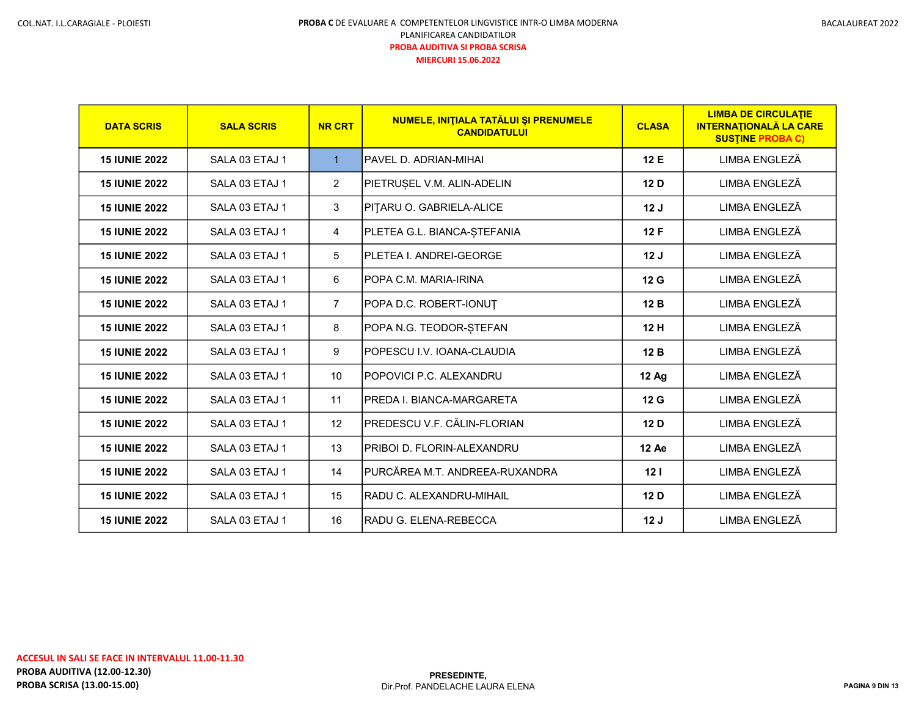| <b>DATA SCRIS</b>    | <b>SALA SCRIS</b> | <b>NR CRT</b>     | NUMELE, INITIALA TATĂLUI ȘI PRENUMELE<br><b>CANDIDATULUI</b> | <b>CLASA</b>    | <b>LIMBA DE CIRCULATIE</b><br><b>INTERNATIONALĂ LA CARE</b><br><b>SUSTINE PROBA C)</b> |
|----------------------|-------------------|-------------------|--------------------------------------------------------------|-----------------|----------------------------------------------------------------------------------------|
| <b>15 IUNIE 2022</b> | SALA 03 ETAJ 1    | $\mathbf{1}$      | PAVEL D. ADRIAN-MIHAI                                        | 12 E            | LIMBA ENGLEZĂ                                                                          |
| <b>15 IUNIE 2022</b> | SALA 03 ETAJ 1    | $\overline{2}$    | PIETRUSEL V.M. ALIN-ADELIN                                   | 12 D            | LIMBA ENGLEZĂ                                                                          |
| <b>15 IUNIE 2022</b> | SALA 03 ETAJ 1    | 3                 | PITARU O. GABRIELA-ALICE                                     | 12J             | LIMBA ENGLEZĂ                                                                          |
| <b>15 IUNIE 2022</b> | SALA 03 ETAJ 1    | 4                 | PLETEA G.L. BIANCA-ȘTEFANIA                                  | 12 F            | LIMBA ENGLEZĂ                                                                          |
| <b>15 IUNIE 2022</b> | SALA 03 ETAJ 1    | 5                 | PLETEA I. ANDREI-GEORGE                                      | 12J             | LIMBA ENGLEZĂ                                                                          |
| <b>15 IUNIE 2022</b> | SALA 03 ETAJ 1    | 6                 | IPOPA C.M. MARIA-IRINA                                       | 12 <sub>G</sub> | LIMBA ENGLEZĂ                                                                          |
| <b>15 IUNIE 2022</b> | SALA 03 ETAJ 1    | $\overline{7}$    | POPA D.C. ROBERT-IONUT                                       | 12B             | LIMBA ENGLEZĂ                                                                          |
| <b>15 IUNIE 2022</b> | SALA 03 ETAJ 1    | 8                 | POPA N.G. TEODOR-ȘTEFAN                                      | 12 H            | LIMBA ENGLEZĂ                                                                          |
| <b>15 IUNIE 2022</b> | SALA 03 ETAJ 1    | 9                 | POPESCU I.V. IOANA-CLAUDIA                                   | 12B             | LIMBA ENGLEZĂ                                                                          |
| <b>15 IUNIE 2022</b> | SALA 03 ETAJ 1    | 10 <sup>1</sup>   | IPOPOVICI P.C. ALEXANDRU                                     | <b>12 Ag</b>    | LIMBA ENGLEZĂ                                                                          |
| <b>15 IUNIE 2022</b> | SALA 03 ETAJ 1    | 11                | <b>PREDA I. BIANCA-MARGARETA</b>                             | 12 G            | LIMBA ENGLEZĂ                                                                          |
| <b>15 IUNIE 2022</b> | SALA 03 ETAJ 1    | $12 \overline{ }$ | IPREDESCU V.F. CĂLIN-FLORIAN                                 | 12 D            | LIMBA ENGLEZĂ                                                                          |
| <b>15 IUNIE 2022</b> | SALA 03 ETAJ 1    | 13                | PRIBOI D. FLORIN-ALEXANDRU                                   | 12 Ae           | LIMBA ENGLEZĂ                                                                          |
| <b>15 IUNIE 2022</b> | SALA 03 ETAJ 1    | 14                | PURCĂREA M.T. ANDREEA-RUXANDRA                               | 12 <sub>1</sub> | LIMBA ENGLEZĂ                                                                          |
| <b>15 IUNIE 2022</b> | SALA 03 ETAJ 1    | 15                | RADU C. ALEXANDRU-MIHAIL                                     | 12 D            | LIMBA ENGLEZĂ                                                                          |
| <b>15 IUNIE 2022</b> | SALA 03 ETAJ 1    | 16                | RADU G. ELENA-REBECCA                                        | 12J             | LIMBA ENGLEZĂ                                                                          |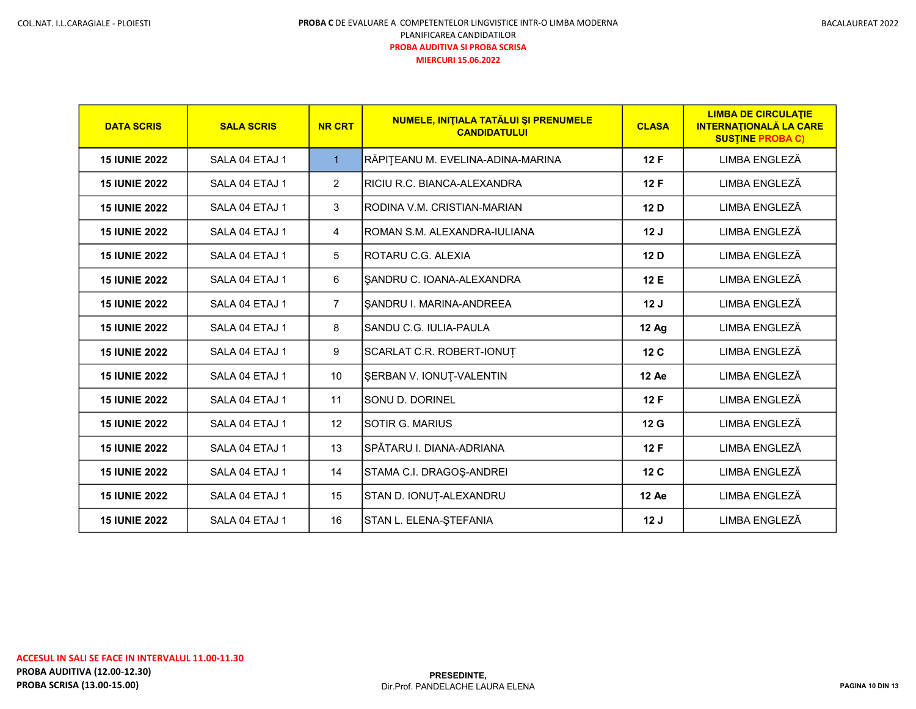| <b>DATA SCRIS</b>    | <b>SALA SCRIS</b> | <b>NR CRT</b>  | NUMELE, INITIALA TATĂLUI ȘI PRENUMELE<br><b>CANDIDATULUI</b> | <b>CLASA</b>    | <b>LIMBA DE CIRCULATIE</b><br><b>INTERNATIONALĂ LA CARE</b><br><b>SUSTINE PROBA C)</b> |
|----------------------|-------------------|----------------|--------------------------------------------------------------|-----------------|----------------------------------------------------------------------------------------|
| <b>15 IUNIE 2022</b> | SALA 04 ETAJ 1    | $\mathbf{1}$   | RĂPIȚEANU M. EVELINA-ADINA-MARINA                            | 12F             | LIMBA ENGLEZĂ                                                                          |
| <b>15 IUNIE 2022</b> | SALA 04 ETAJ 1    | $\overline{2}$ | IRICIU R.C. BIANCA-ALEXANDRA                                 | 12F             | LIMBA ENGLEZĂ                                                                          |
| <b>15 IUNIE 2022</b> | SALA 04 ETAJ 1    | 3              | IRODINA V.M. CRISTIAN-MARIAN                                 | 12 D            | LIMBA ENGLEZĂ                                                                          |
| <b>15 IUNIE 2022</b> | SALA 04 ETAJ 1    | 4              | IROMAN S.M. ALEXANDRA-IULIANA                                | 12J             | LIMBA ENGLEZĂ                                                                          |
| <b>15 IUNIE 2022</b> | SAI A 04 FTAJ 1   | 5              | IROTARU C.G. AI FXIA                                         | 12 D            | <b>LIMBA ENGLEZĂ</b>                                                                   |
| <b>15 IUNIE 2022</b> | SALA 04 ETAJ 1    | 6              | SANDRU C. IOANA-ALEXANDRA                                    | 12 E            | LIMBA ENGLEZĂ                                                                          |
| <b>15 IUNIE 2022</b> | SALA 04 ETAJ 1    | $\overline{7}$ | SANDRU I. MARINA-ANDREEA                                     | 12J             | LIMBA ENGLEZĂ                                                                          |
| <b>15 IUNIE 2022</b> | SALA 04 ETAJ 1    | 8              | SANDU C.G. IULIA-PAULA                                       | 12 Ag           | LIMBA ENGLEZĂ                                                                          |
| <b>15 IUNIE 2022</b> | SALA 04 ETAJ 1    | 9              | SCARLAT C.R. ROBERT-IONUT                                    | 12 <sub>C</sub> | LIMBA ENGLEZĂ                                                                          |
| <b>15 IUNIE 2022</b> | SALA 04 ETAJ 1    | 10             | SERBAN V. IONUT-VALENTIN                                     | 12 Ae           | LIMBA ENGLEZĂ                                                                          |
| <b>15 IUNIE 2022</b> | SALA 04 ETAJ 1    | 11             | SONU D. DORINEL                                              | 12F             | LIMBA ENGLEZĂ                                                                          |
| <b>15 IUNIE 2022</b> | SALA 04 ETAJ 1    | 12             | ISOTIR G. MARIUS                                             | 12 G            | LIMBA ENGLEZĂ                                                                          |
| <b>15 IUNIE 2022</b> | SALA 04 ETAJ 1    | 13             | SPĂTARU I. DIANA-ADRIANA                                     | 12F             | LIMBA ENGLEZĂ                                                                          |
| <b>15 IUNIE 2022</b> | SALA 04 ETAJ 1    | 14             | STAMA C.I. DRAGOŞ-ANDREI                                     | 12 <sub>C</sub> | LIMBA ENGLEZĂ                                                                          |
| <b>15 IUNIE 2022</b> | SALA 04 ETAJ 1    | 15             | STAN D. IONUȚ-ALEXANDRU                                      | 12 Ae           | LIMBA ENGLEZĂ                                                                          |
| <b>15 IUNIE 2022</b> | SALA 04 ETAJ 1    | 16             | STAN L. ELENA-ȘTEFANIA                                       | 12J             | LIMBA ENGLEZĂ                                                                          |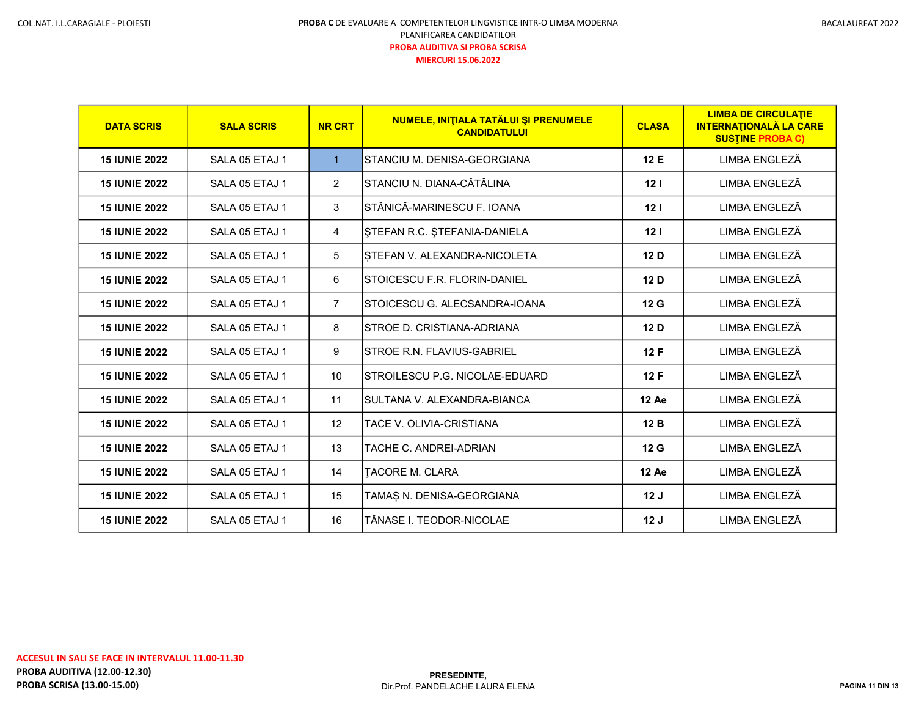| <b>DATA SCRIS</b>    | <b>SALA SCRIS</b> | <b>NR CRT</b>  | NUMELE, INITIALA TATĂLUI ȘI PRENUMELE<br><b>CANDIDATULUI</b> | <b>CLASA</b>    | <b>LIMBA DE CIRCULATIE</b><br><b>INTERNATIONALĂ LA CARE</b><br><b>SUSTINE PROBA C)</b> |
|----------------------|-------------------|----------------|--------------------------------------------------------------|-----------------|----------------------------------------------------------------------------------------|
| <b>15 IUNIE 2022</b> | SALA 05 ETAJ 1    | $\mathbf{1}$   | ISTANCIU M. DENISA-GEORGIANA                                 | 12 E            | LIMBA ENGLEZĂ                                                                          |
| <b>15 IUNIE 2022</b> | SALA 05 ETAJ 1    | $\overline{2}$ | STANCIU N. DIANA-CĂTĂLINA                                    | 12 <sub>1</sub> | LIMBA ENGLEZĂ                                                                          |
| <b>15 IUNIE 2022</b> | SALA 05 ETAJ 1    | 3              | STĂNICĂ-MARINESCU F. IOANA                                   | 12 <sub>1</sub> | LIMBA ENGLEZĂ                                                                          |
| <b>15 IUNIE 2022</b> | SALA 05 ETAJ 1    | 4              | ŞTEFAN R.C. ŞTEFANIA-DANIELA                                 | 12 <sub>1</sub> | LIMBA ENGLEZĂ                                                                          |
| <b>15 IUNIE 2022</b> | SALA 05 ETAJ 1    | 5              | ISTEFAN V. ALEXANDRA-NICOLETA                                | 12 D            | LIMBA ENGLEZĂ                                                                          |
| <b>15 IUNIE 2022</b> | SALA 05 ETAJ 1    | 6              | STOICESCU F.R. FLORIN-DANIEL                                 | 12 D            | LIMBA ENGLEZĂ                                                                          |
| <b>15 IUNIE 2022</b> | SALA 05 ETAJ 1    | $\overline{7}$ | ISTOICESCU G. ALECSANDRA-IOANA                               | 12G             | LIMBA ENGLEZĂ                                                                          |
| <b>15 IUNIE 2022</b> | SALA 05 ETAJ 1    | 8              | ISTROE D. CRISTIANA-ADRIANA                                  | 12 D            | LIMBA ENGLEZĂ                                                                          |
| <b>15 IUNIE 2022</b> | SALA 05 ETAJ 1    | 9              | ISTROE R.N. FLAVIUS-GABRIEL                                  | 12F             | LIMBA ENGLEZĂ                                                                          |
| <b>15 IUNIE 2022</b> | SALA 05 ETAJ 1    | 10             | STROILESCU P.G. NICOLAE-EDUARD                               | 12F             | LIMBA ENGLEZĂ                                                                          |
| <b>15 IUNIE 2022</b> | SALA 05 ETAJ 1    | 11             | SULTANA V. ALEXANDRA-BIANCA                                  | 12 Ae           | LIMBA ENGLEZĂ                                                                          |
| <b>15 IUNIE 2022</b> | SALA 05 ETAJ 1    | 12             | <b>TACE V. OLIVIA-CRISTIANA</b>                              | 12B             | LIMBA ENGLEZĂ                                                                          |
| <b>15 IUNIE 2022</b> | SALA 05 ETAJ 1    | 13             | TACHE C. ANDREI-ADRIAN                                       | 12 G            | LIMBA ENGLEZĂ                                                                          |
| <b>15 IUNIE 2022</b> | SALA 05 ETAJ 1    | 14             | <b>TACORE M. CLARA</b>                                       | 12 Ae           | LIMBA ENGLEZĂ                                                                          |
| <b>15 IUNIE 2022</b> | SALA 05 ETAJ 1    | 15             | TAMAS N. DENISA-GEORGIANA                                    | 12J             | LIMBA ENGLEZĂ                                                                          |
| <b>15 IUNIE 2022</b> | SALA 05 ETAJ 1    | 16             | TĂNASE I. TEODOR-NICOLAE                                     | 12J             | LIMBA ENGLEZĂ                                                                          |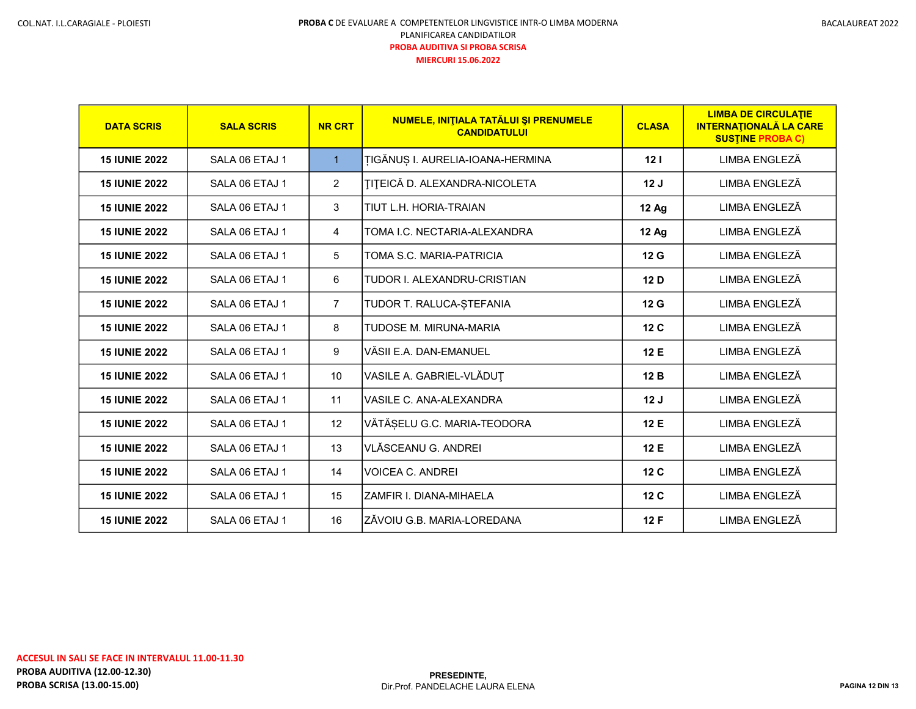| <b>DATA SCRIS</b>    | <b>SALA SCRIS</b> | <b>NR CRT</b>   | NUMELE, INITIALA TATĂLUI ȘI PRENUMELE<br><b>CANDIDATULUI</b> | <b>CLASA</b>    | <b>LIMBA DE CIRCULATIE</b><br><b>INTERNATIONALĂ LA CARE</b><br><b>SUSTINE PROBA C)</b> |
|----------------------|-------------------|-----------------|--------------------------------------------------------------|-----------------|----------------------------------------------------------------------------------------|
| <b>15 IUNIE 2022</b> | SALA 06 ETAJ 1    | $\mathbf{1}$    | <b>TIGĂNUȘ I. AURELIA-IOANA-HERMINA</b>                      | 12 <sub>1</sub> | LIMBA ENGLEZĂ                                                                          |
| <b>15 IUNIE 2022</b> | SALA 06 ETAJ 1    | $\overline{2}$  | <b>TITEICĂ D. ALEXANDRA-NICOLETA</b>                         | 12J             | LIMBA ENGLEZĂ                                                                          |
| <b>15 IUNIE 2022</b> | SALA 06 ETAJ 1    | 3               | TIUT L.H. HORIA-TRAIAN                                       | <b>12 Ag</b>    | LIMBA ENGLEZĂ                                                                          |
| <b>15 IUNIE 2022</b> | SALA 06 ETAJ 1    | $\overline{4}$  | TOMA I.C. NECTARIA-ALEXANDRA                                 | <b>12 Ag</b>    | LIMBA ENGLEZĂ                                                                          |
| <b>15 IUNIE 2022</b> | SAI A 06 FTAJ 1   | 5               | TOMA S.C. MARIA-PATRICIA                                     | 12G             | LIMBA ENGLEZĂ                                                                          |
| <b>15 IUNIE 2022</b> | SALA 06 ETAJ 1    | 6               | TUDOR I. ALEXANDRU-CRISTIAN                                  | 12D             | LIMBA ENGLEZĂ                                                                          |
| <b>15 IUNIE 2022</b> | SALA 06 ETAJ 1    | $\overline{7}$  | TUDOR T. RALUCA-ȘTEFANIA                                     | 12 <sub>G</sub> | LIMBA ENGLEZĂ                                                                          |
| <b>15 IUNIE 2022</b> | SALA 06 ETAJ 1    | 8               | TUDOSE M. MIRUNA-MARIA                                       | 12 <sub>C</sub> | LIMBA ENGLEZĂ                                                                          |
| <b>15 IUNIE 2022</b> | SALA 06 ETAJ 1    | 9               | VĂSII F.A. DAN-FMANUFI                                       | 12 E            | LIMBA ENGLEZĂ                                                                          |
| <b>15 IUNIE 2022</b> | SALA 06 ETAJ 1    | 10 <sup>1</sup> | VASILE A. GABRIEL-VLĂDUȚ                                     | 12B             | LIMBA ENGLEZĂ                                                                          |
| <b>15 IUNIE 2022</b> | SALA 06 ETAJ 1    | 11              | VASILE C. ANA-ALEXANDRA                                      | 12J             | LIMBA ENGLEZĂ                                                                          |
| <b>15 IUNIE 2022</b> | SALA 06 ETAJ 1    | 12              | VĂTĂȘELU G.C. MARIA-TEODORA                                  | 12 E            | LIMBA ENGLEZĂ                                                                          |
| <b>15 IUNIE 2022</b> | SALA 06 ETAJ 1    | 13              | VLĂSCEANU G. ANDREI                                          | 12 E            | LIMBA ENGLEZĂ                                                                          |
| <b>15 IUNIE 2022</b> | SALA 06 ETAJ 1    | 14              | VOICEA C. ANDREI                                             | 12 <sub>C</sub> | LIMBA ENGLEZĂ                                                                          |
| <b>15 IUNIE 2022</b> | SALA 06 ETAJ 1    | 15              | ZAMFIR I. DIANA-MIHAELA                                      | 12 <sub>C</sub> | LIMBA ENGLEZĂ                                                                          |
| <b>15 IUNIE 2022</b> | SALA 06 ETAJ 1    | 16              | ZĂVOIU G.B. MARIA-LOREDANA                                   | 12F             | LIMBA ENGLEZĂ                                                                          |